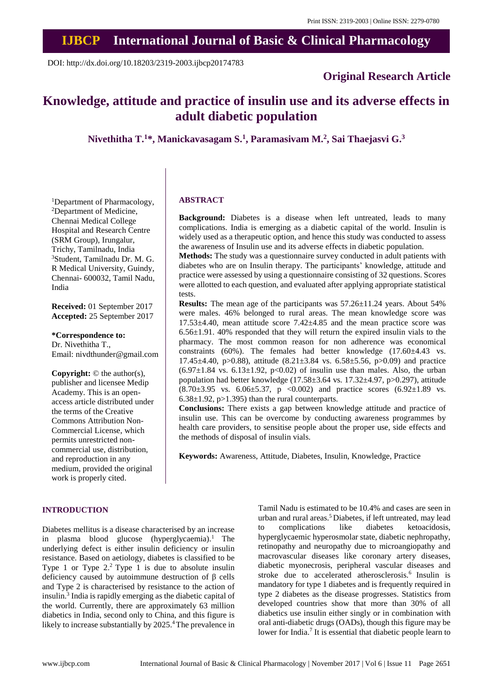# **IJBCP International Journal of Basic & Clinical Pharmacology**

DOI: http://dx.doi.org/10.18203/2319-2003.ijbcp20174783

# **Original Research Article**

# **Knowledge, attitude and practice of insulin use and its adverse effects in adult diabetic population**

**Nivethitha T. <sup>1</sup>\*, Manickavasagam S. 1 , Paramasivam M. 2 , Sai Thaejasvi G. 3**

<sup>1</sup>Department of Pharmacology, <sup>2</sup>Department of Medicine, Chennai Medical College Hospital and Research Centre (SRM Group), Irungalur, Trichy, Tamilnadu, India <sup>3</sup>Student, Tamilnadu Dr. M. G. R Medical University, Guindy, Chennai- 600032, Tamil Nadu, India

**Received:** 01 September 2017 **Accepted:** 25 September 2017

**\*Correspondence to:** Dr. Nivethitha T., Email: nivdthunder@gmail.com

**Copyright:** © the author(s), publisher and licensee Medip Academy. This is an openaccess article distributed under the terms of the Creative Commons Attribution Non-Commercial License, which permits unrestricted noncommercial use, distribution, and reproduction in any medium, provided the original work is properly cited.

### **ABSTRACT**

**Background:** Diabetes is a disease when left untreated, leads to many complications. India is emerging as a diabetic capital of the world. Insulin is widely used as a therapeutic option, and hence this study was conducted to assess the awareness of Insulin use and its adverse effects in diabetic population.

**Methods:** The study was a questionnaire survey conducted in adult patients with diabetes who are on Insulin therapy. The participants' knowledge, attitude and practice were assessed by using a questionnaire consisting of 32 questions. Scores were allotted to each question, and evaluated after applying appropriate statistical tests.

**Results:** The mean age of the participants was  $57.26 \pm 11.24$  years. About  $54\%$ were males. 46% belonged to rural areas. The mean knowledge score was  $17.53\pm4.40$ , mean attitude score  $7.42\pm4.85$  and the mean practice score was 6.56±1.91. 40% responded that they will return the expired insulin vials to the pharmacy. The most common reason for non adherence was economical constraints (60%). The females had better knowledge (17.60±4.43 vs. 17.45 $\pm$ 4.40, p $>$ 0.88), attitude (8.21 $\pm$ 3.84 vs. 6.58 $\pm$ 5.56, p $>$ 0.09) and practice  $(6.97\pm1.84 \text{ vs. } 6.13\pm1.92, \text{ p} < 0.02)$  of insulin use than males. Also, the urban population had better knowledge (17.58±3.64 vs. 17.32±4.97, p>0.297), attitude  $(8.70\pm3.95 \text{ vs. } 6.06\pm5.37, \text{ p } < 0.002)$  and practice scores  $(6.92\pm1.89 \text{ vs. } 0.002)$  $6.38\pm1.92$ ,  $p>1.395$ ) than the rural counterparts.

**Conclusions:** There exists a gap between knowledge attitude and practice of insulin use. This can be overcome by conducting awareness programmes by health care providers, to sensitise people about the proper use, side effects and the methods of disposal of insulin vials.

**Keywords:** Awareness, Attitude, Diabetes, Insulin, Knowledge, Practice

**INTRODUCTION**

Diabetes mellitus is a disease characterised by an increase in plasma blood glucose  $(hyperglycaemia).<sup>1</sup>$  The underlying defect is either insulin deficiency or insulin resistance. Based on aetiology, diabetes is classified to be Type 1 or Type 2.<sup>2</sup> Type 1 is due to absolute insulin deficiency caused by autoimmune destruction of β cells and Type 2 is characterised by resistance to the action of insulin.<sup>3</sup> India is rapidly emerging as the diabetic capital of the world. Currently, there are approximately 63 million diabetics in India, second only to China, and this figure is likely to increase substantially by 2025.<sup>4</sup> The prevalence in Tamil Nadu is estimated to be 10.4% and cases are seen in urban and rural areas.<sup>5</sup> Diabetes, if left untreated, may lead to complications like diabetes ketoacidosis, hyperglycaemic hyperosmolar state, diabetic nephropathy, retinopathy and neuropathy due to microangiopathy and macrovascular diseases like coronary artery diseases, diabetic myonecrosis, peripheral vascular diseases and stroke due to accelerated atherosclerosis.<sup>6</sup> Insulin is mandatory for type 1 diabetes and is frequently required in type 2 diabetes as the disease progresses. Statistics from developed countries show that more than 30% of all diabetics use insulin either singly or in combination with oral anti-diabetic drugs (OADs), though this figure may be lower for India.<sup>7</sup> It is essential that diabetic people learn to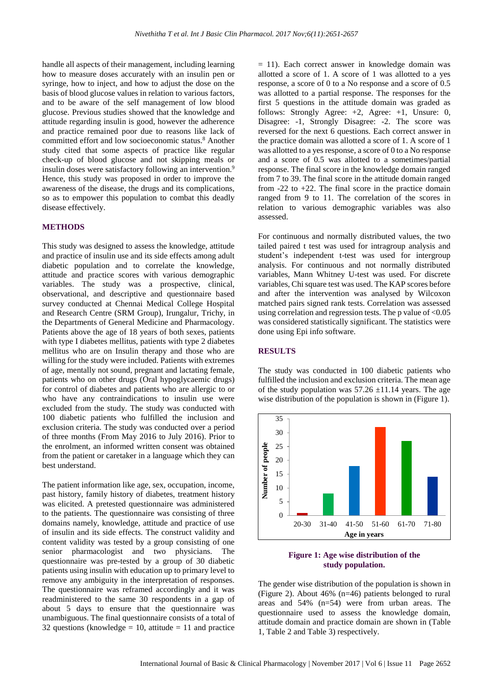handle all aspects of their management, including learning how to measure doses accurately with an insulin pen or syringe, how to inject, and how to adjust the dose on the basis of blood glucose values in relation to various factors, and to be aware of the self management of low blood glucose. Previous studies showed that the knowledge and attitude regarding insulin is good, however the adherence and practice remained poor due to reasons like lack of committed effort and low socioeconomic status.<sup>8</sup> Another study cited that some aspects of practice like regular check-up of blood glucose and not skipping meals or insulin doses were satisfactory following an intervention.<sup>9</sup> Hence, this study was proposed in order to improve the awareness of the disease, the drugs and its complications, so as to empower this population to combat this deadly disease effectively.

#### **METHODS**

This study was designed to assess the knowledge, attitude and practice of insulin use and its side effects among adult diabetic population and to correlate the knowledge, attitude and practice scores with various demographic variables. The study was a prospective, clinical, observational, and descriptive and questionnaire based survey conducted at Chennai Medical College Hospital and Research Centre (SRM Group), Irungalur, Trichy, in the Departments of General Medicine and Pharmacology. Patients above the age of 18 years of both sexes, patients with type I diabetes mellitus, patients with type 2 diabetes mellitus who are on Insulin therapy and those who are willing for the study were included. Patients with extremes of age, mentally not sound, pregnant and lactating female, patients who on other drugs (Oral hypoglycaemic drugs) for control of diabetes and patients who are allergic to or who have any contraindications to insulin use were excluded from the study. The study was conducted with 100 diabetic patients who fulfilled the inclusion and exclusion criteria. The study was conducted over a period of three months (From May 2016 to July 2016). Prior to the enrolment, an informed written consent was obtained from the patient or caretaker in a language which they can best understand.

The patient information like age, sex, occupation, income, past history, family history of diabetes, treatment history was elicited. A pretested questionnaire was administered to the patients. The questionnaire was consisting of three domains namely, knowledge, attitude and practice of use of insulin and its side effects. The construct validity and content validity was tested by a group consisting of one senior pharmacologist and two physicians. The questionnaire was pre-tested by a group of 30 diabetic patients using insulin with education up to primary level to remove any ambiguity in the interpretation of responses. The questionnaire was reframed accordingly and it was readministered to the same 30 respondents in a gap of about 5 days to ensure that the questionnaire was unambiguous. The final questionnaire consists of a total of 32 questions (knowledge  $= 10$ , attitude  $= 11$  and practice  $= 11$ ). Each correct answer in knowledge domain was allotted a score of 1. A score of 1 was allotted to a yes response, a score of 0 to a No response and a score of 0.5 was allotted to a partial response. The responses for the first 5 questions in the attitude domain was graded as follows: Strongly Agree:  $+2$ , Agree:  $+1$ , Unsure: 0, Disagree: -1, Strongly Disagree: -2. The score was reversed for the next 6 questions. Each correct answer in the practice domain was allotted a score of 1. A score of 1 was allotted to a yes response, a score of 0 to a No response and a score of 0.5 was allotted to a sometimes/partial response. The final score in the knowledge domain ranged from 7 to 39. The final score in the attitude domain ranged from  $-22$  to  $+22$ . The final score in the practice domain ranged from 9 to 11. The correlation of the scores in relation to various demographic variables was also assessed.

For continuous and normally distributed values, the two tailed paired t test was used for intragroup analysis and student's independent t-test was used for intergroup analysis. For continuous and not normally distributed variables, Mann Whitney U-test was used. For discrete variables, Chisquare test was used. The KAP scores before and after the intervention was analysed by Wilcoxon matched pairs signed rank tests. Correlation was assessed using correlation and regression tests. The p value of  $< 0.05$ was considered statistically significant. The statistics were done using Epi info software.

### **RESULTS**

The study was conducted in 100 diabetic patients who fulfilled the inclusion and exclusion criteria. The mean age of the study population was  $57.26 \pm 11.14$  years. The age wise distribution of the population is shown in (Figure 1).



**Figure 1: Age wise distribution of the study population.**

The gender wise distribution of the population is shown in (Figure 2). About 46% (n=46) patients belonged to rural areas and 54% (n=54) were from urban areas. The questionnaire used to assess the knowledge domain, attitude domain and practice domain are shown in (Table 1, Table 2 and Table 3) respectively.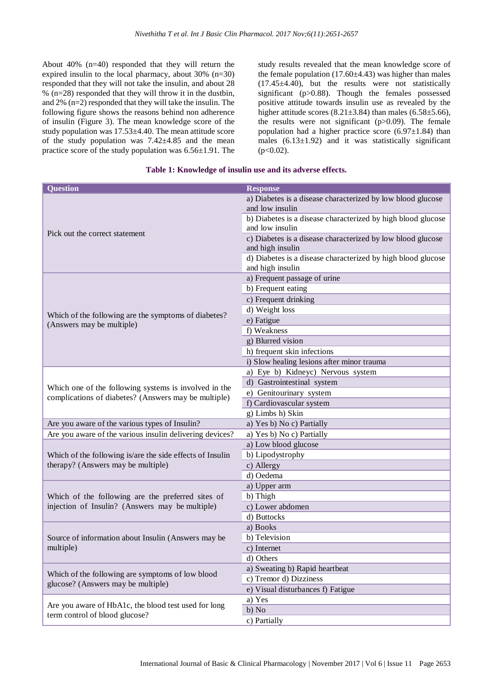About 40% (n=40) responded that they will return the expired insulin to the local pharmacy, about 30% (n=30) responded that they will not take the insulin, and about 28 % (n=28) responded that they will throw it in the dustbin, and 2% (n=2) responded that they will take the insulin. The following figure shows the reasons behind non adherence of insulin (Figure 3). The mean knowledge score of the study population was 17.53±4.40. The mean attitude score of the study population was 7.42±4.85 and the mean practice score of the study population was 6.56±1.91. The study results revealed that the mean knowledge score of the female population  $(17.60\pm4.43)$  was higher than males (17.45±4.40), but the results were not statistically significant (p>0.88). Though the females possessed positive attitude towards insulin use as revealed by the higher attitude scores  $(8.21 \pm 3.84)$  than males  $(6.58 \pm 5.66)$ , the results were not significant (p>0.09). The female population had a higher practice score  $(6.97\pm1.84)$  than males  $(6.13\pm1.92)$  and it was statistically significant  $(p<0.02)$ .

### **Table 1: Knowledge of insulin use and its adverse effects.**

| <b>Question</b>                                                                                      | <b>Response</b>                                                                  |  |  |
|------------------------------------------------------------------------------------------------------|----------------------------------------------------------------------------------|--|--|
|                                                                                                      | a) Diabetes is a disease characterized by low blood glucose                      |  |  |
|                                                                                                      | and low insulin                                                                  |  |  |
|                                                                                                      | b) Diabetes is a disease characterized by high blood glucose                     |  |  |
| Pick out the correct statement                                                                       | and low insulin                                                                  |  |  |
|                                                                                                      | c) Diabetes is a disease characterized by low blood glucose<br>and high insulin  |  |  |
|                                                                                                      | d) Diabetes is a disease characterized by high blood glucose<br>and high insulin |  |  |
| Which of the following are the symptoms of diabetes?<br>(Answers may be multiple)                    | a) Frequent passage of urine                                                     |  |  |
|                                                                                                      | b) Frequent eating                                                               |  |  |
|                                                                                                      | c) Frequent drinking                                                             |  |  |
|                                                                                                      | d) Weight loss                                                                   |  |  |
|                                                                                                      | e) Fatigue                                                                       |  |  |
|                                                                                                      | f) Weakness                                                                      |  |  |
|                                                                                                      | g) Blurred vision                                                                |  |  |
|                                                                                                      | h) frequent skin infections                                                      |  |  |
|                                                                                                      | i) Slow healing lesions after minor trauma                                       |  |  |
|                                                                                                      | a) Eye b) Kidneyc) Nervous system                                                |  |  |
|                                                                                                      | d) Gastrointestinal system                                                       |  |  |
| Which one of the following systems is involved in the                                                | e) Genitourinary system                                                          |  |  |
| complications of diabetes? (Answers may be multiple)                                                 | f) Cardiovascular system                                                         |  |  |
|                                                                                                      | g) Limbs h) Skin                                                                 |  |  |
| Are you aware of the various types of Insulin?                                                       | a) Yes b) No c) Partially                                                        |  |  |
| Are you aware of the various insulin delivering devices?                                             | a) Yes b) No c) Partially                                                        |  |  |
|                                                                                                      | a) Low blood glucose                                                             |  |  |
| Which of the following is/are the side effects of Insulin                                            | b) Lipodystrophy                                                                 |  |  |
| therapy? (Answers may be multiple)                                                                   | c) Allergy                                                                       |  |  |
|                                                                                                      | d) Oedema                                                                        |  |  |
| Which of the following are the preferred sites of<br>injection of Insulin? (Answers may be multiple) | a) Upper arm                                                                     |  |  |
|                                                                                                      | b) Thigh                                                                         |  |  |
|                                                                                                      | c) Lower abdomen                                                                 |  |  |
|                                                                                                      | d) Buttocks                                                                      |  |  |
| Source of information about Insulin (Answers may be<br>multiple)                                     | a) Books                                                                         |  |  |
|                                                                                                      | b) Television                                                                    |  |  |
|                                                                                                      | c) Internet                                                                      |  |  |
|                                                                                                      | d) Others                                                                        |  |  |
| Which of the following are symptoms of low blood<br>glucose? (Answers may be multiple)               | a) Sweating b) Rapid heartbeat                                                   |  |  |
|                                                                                                      | c) Tremor d) Dizziness                                                           |  |  |
|                                                                                                      | e) Visual disturbances f) Fatigue                                                |  |  |
| Are you aware of HbA1c, the blood test used for long<br>term control of blood glucose?               | a) Yes                                                                           |  |  |
|                                                                                                      | b) No                                                                            |  |  |
|                                                                                                      | c) Partially                                                                     |  |  |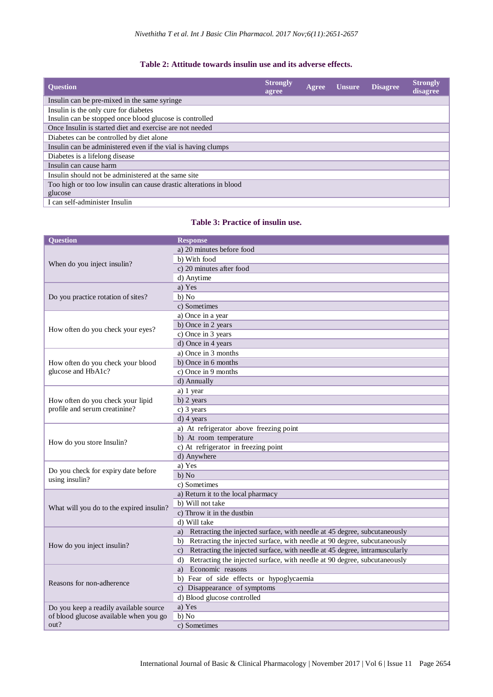# **Table 2: Attitude towards insulin use and its adverse effects.**

| <b>Ouestion</b>                                                    | <b>Strongly</b><br>agree | Agree | <b>Unsure</b> | <b>Disagree</b> | <b>Strongly</b><br>disagree |
|--------------------------------------------------------------------|--------------------------|-------|---------------|-----------------|-----------------------------|
| Insulin can be pre-mixed in the same syringe                       |                          |       |               |                 |                             |
| Insulin is the only cure for diabetes                              |                          |       |               |                 |                             |
| Insulin can be stopped once blood glucose is controlled            |                          |       |               |                 |                             |
| Once Insulin is started diet and exercise are not needed           |                          |       |               |                 |                             |
| Diabetes can be controlled by diet alone                           |                          |       |               |                 |                             |
| Insulin can be administered even if the vial is having clumps      |                          |       |               |                 |                             |
| Diabetes is a lifelong disease                                     |                          |       |               |                 |                             |
| Insulin can cause harm                                             |                          |       |               |                 |                             |
| Insulin should not be administered at the same site                |                          |       |               |                 |                             |
| Too high or too low insulin can cause drastic alterations in blood |                          |       |               |                 |                             |
| glucose                                                            |                          |       |               |                 |                             |
| I can self-administer Insulin                                      |                          |       |               |                 |                             |

# **Table 3: Practice of insulin use.**

| Question                                                           | <b>Response</b>                                                                 |
|--------------------------------------------------------------------|---------------------------------------------------------------------------------|
|                                                                    | a) 20 minutes before food                                                       |
|                                                                    | b) With food                                                                    |
| When do you inject insulin?                                        | c) 20 minutes after food                                                        |
|                                                                    | d) Anytime                                                                      |
|                                                                    | a) Yes                                                                          |
| Do you practice rotation of sites?                                 | b) No                                                                           |
|                                                                    | c) Sometimes                                                                    |
| How often do you check your eyes?                                  | a) Once in a year                                                               |
|                                                                    | b) Once in 2 years                                                              |
|                                                                    | c) Once in 3 years                                                              |
|                                                                    | d) Once in 4 years                                                              |
| How often do you check your blood<br>glucose and HbA1c?            | a) Once in 3 months                                                             |
|                                                                    | b) Once in 6 months                                                             |
|                                                                    | c) Once in 9 months                                                             |
|                                                                    | d) Annually                                                                     |
|                                                                    | a) 1 year                                                                       |
| How often do you check your lipid<br>profile and serum creatinine? | b) 2 years                                                                      |
|                                                                    | c) 3 years                                                                      |
|                                                                    | $d)$ 4 years                                                                    |
|                                                                    | a) At refrigerator above freezing point                                         |
|                                                                    | b) At room temperature                                                          |
| How do you store Insulin?                                          | c) At refrigerator in freezing point                                            |
|                                                                    | d) Anywhere                                                                     |
|                                                                    | a) Yes                                                                          |
| Do you check for expiry date before<br>using insulin?              | b) No                                                                           |
|                                                                    | c) Sometimes                                                                    |
|                                                                    | a) Return it to the local pharmacy                                              |
| What will you do to the expired insulin?                           | b) Will not take                                                                |
|                                                                    | c) Throw it in the dustbin                                                      |
|                                                                    | d) Will take                                                                    |
| How do you inject insulin?                                         | Retracting the injected surface, with needle at 45 degree, subcutaneously<br>a) |
|                                                                    | Retracting the injected surface, with needle at 90 degree, subcutaneously<br>b) |
|                                                                    | c) Retracting the injected surface, with needle at 45 degree, intramuscularly   |
|                                                                    | Retracting the injected surface, with needle at 90 degree, subcutaneously<br>d) |
| Reasons for non-adherence                                          | Economic reasons<br>a)                                                          |
|                                                                    | b) Fear of side effects or hypoglycaemia                                        |
|                                                                    | c) Disappearance of symptoms                                                    |
|                                                                    | d) Blood glucose controlled                                                     |
| Do you keep a readily available source                             | a) Yes                                                                          |
| of blood glucose available when you go                             | b) No                                                                           |
| out?                                                               | c) Sometimes                                                                    |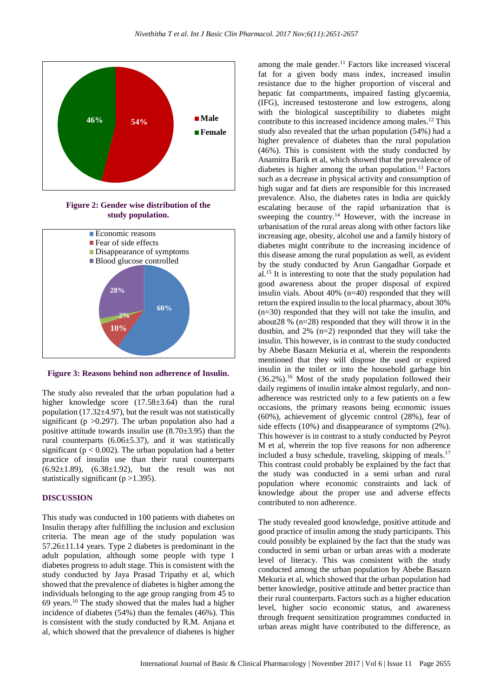

**Figure 3: Reasons behind non adherence of Insulin.**

The study also revealed that the urban population had a higher knowledge score (17.58±3.64) than the rural population (17.32 $\pm$ 4.97), but the result was not statistically significant ( $p > 0.297$ ). The urban population also had a positive attitude towards insulin use  $(8.70\pm3.95)$  than the rural counterparts  $(6.06 \pm 5.37)$ , and it was statistically significant ( $p < 0.002$ ). The urban population had a better practice of insulin use than their rural counterparts (6.92±1.89), (6.38±1.92), but the result was not statistically significant ( $p > 1.395$ ).

#### **DISCUSSION**

This study was conducted in 100 patients with diabetes on Insulin therapy after fulfilling the inclusion and exclusion criteria. The mean age of the study population was 57.26±11.14 years. Type 2 diabetes is predominant in the adult population, although some people with type 1 diabetes progress to adult stage. This is consistent with the study conducted by Jaya Prasad Tripathy et al, which showed that the prevalence of diabetes is higher among the individuals belonging to the age group ranging from 45 to 69 years.<sup>10</sup> The study showed that the males had a higher incidence of diabetes (54%) than the females (46%). This is consistent with the study conducted by R.M. Anjana et al, which showed that the prevalence of diabetes is higher among the male gender.<sup>11</sup> Factors like increased visceral fat for a given body mass index, increased insulin resistance due to the higher proportion of visceral and hepatic fat compartments, impaired fasting glycaemia, (IFG), increased testosterone and low estrogens, along with the biological susceptibility to diabetes might contribute to this increased incidence among males. <sup>12</sup> This study also revealed that the urban population (54%) had a higher prevalence of diabetes than the rural population (46%). This is consistent with the study conducted by Anamitra Barik et al, which showed that the prevalence of diabetes is higher among the urban population.<sup>13</sup> Factors such as a decrease in physical activity and consumption of high sugar and fat diets are responsible for this increased prevalence. Also, the diabetes rates in India are quickly escalating because of the rapid urbanization that is sweeping the country. <sup>14</sup> However, with the increase in urbanisation of the rural areas along with other factors like increasing age, obesity, alcohol use and a family history of diabetes might contribute to the increasing incidence of this disease among the rural population as well, as evident by the study conducted by Arun Gangadhar Gorpade et al. <sup>15</sup> It is interesting to note that the study population had good awareness about the proper disposal of expired insulin vials. About 40% (n=40) responded that they will return the expired insulin to the local pharmacy, about 30% (n=30) responded that they will not take the insulin, and about28 % (n=28) responded that they will throw it in the dustbin, and 2% (n=2) responded that they will take the insulin. This however, is in contrast to the study conducted by Abebe Basazn Mekuria et al, wherein the respondents mentioned that they will dispose the used or expired insulin in the toilet or into the household garbage bin (36.2%). <sup>16</sup> Most of the study population followed their daily regimens of insulin intake almost regularly, and nonadherence was restricted only to a few patients on a few occasions, the primary reasons being economic issues (60%), achievement of glycemic control (28%), fear of side effects (10%) and disappearance of symptoms (2%). This however is in contrast to a study conducted by Peyrot M et al, wherein the top five reasons for non adherence included a busy schedule, traveling, skipping of meals. 17 This contrast could probably be explained by the fact that the study was conducted in a semi urban and rural population where economic constraints and lack of knowledge about the proper use and adverse effects contributed to non adherence.

The study revealed good knowledge, positive attitude and good practice of insulin among the study participants. This could possibly be explained by the fact that the study was conducted in semi urban or urban areas with a moderate level of literacy. This was consistent with the study conducted among the urban population by Abebe Basazn Mekuria et al, which showed that the urban population had better knowledge, positive attitude and better practice than their rural counterparts. Factors such as a higher education level, higher socio economic status, and awareness through frequent sensitization programmes conducted in urban areas might have contributed to the difference, as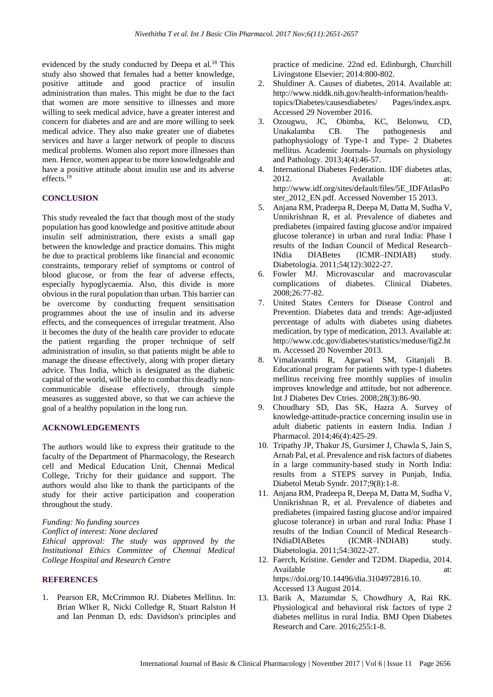evidenced by the study conducted by Deepa et al.<sup>18</sup> This study also showed that females had a better knowledge, positive attitude and good practice of insulin administration than males. This might be due to the fact that women are more sensitive to illnesses and more willing to seek medical advice, have a greater interest and concern for diabetes and are and are more willing to seek medical advice. They also make greater use of diabetes services and have a larger network of people to discuss medical problems. Women also report more illnesses than men. Hence, women appear to be more knowledgeable and have a positive attitude about insulin use and its adverse effects. 19

# **CONCLUSION**

This study revealed the fact that though most of the study population has good knowledge and positive attitude about insulin self administration, there exists a small gap between the knowledge and practice domains. This might be due to practical problems like financial and economic constraints, temporary relief of symptoms or control of blood glucose, or from the fear of adverse effects, especially hypoglycaemia. Also, this divide is more obvious in the rural population than urban. This barrier can be overcome by conducting frequent sensitisation programmes about the use of insulin and its adverse effects, and the consequences of irregular treatment. Also it becomes the duty of the health care provider to educate the patient regarding the proper technique of self administration of insulin, so that patients might be able to manage the disease effectively, along with proper dietary advice. Thus India, which is designated as the diabetic capital of the world, will be able to combat this deadly noncommunicable disease effectively, through simple measures as suggested above, so that we can achieve the goal of a healthy population in the long run.

### **ACKNOWLEDGEMENTS**

The authors would like to express their gratitude to the faculty of the Department of Pharmacology, the Research cell and Medical Education Unit, Chennai Medical College, Trichy for their guidance and support. The authors would also like to thank the participants of the study for their active participation and cooperation throughout the study.

*Funding: No funding sources*

*Conflict of interest: None declared*

*Ethical approval: The study was approved by the Institutional Ethics Committee of Chennai Medical College Hospital and Research Centre*

#### **REFERENCES**

1. Pearson ER, McCrimmon RJ. Diabetes Mellitus. In: Brian Wlker R, Nicki Colledge R, Stuart Ralston H and Ian Penman D, eds: Davidson's principles and practice of medicine. 22nd ed. Edinburgh, Churchill Livingstone Elsevier; 2014:800-802.

- 2. Shuldiner A. Causes of diabetes, 2014. Available at: http://www.niddk.nih.gov/health-information/healthtopics/Diabetes/causesdiabetes/ Pages/index.aspx. Accessed 29 November 2016.
- 3. Ozougwu, JC, Obimba, KC, Belonwu, CD, Unakalamba CB. The pathogenesis and pathophysiology of Type-1 and Type- 2 Diabetes mellitus. Academic Journals- Journals on physiology and Pathology. 2013;4(4):46-57.
- 4. International Diabetes Federation. IDF diabetes atlas, 2012. Available at: http://www.idf.org/sites/default/files/5E\_IDFAtlasPo ster 2012 EN.pdf. Accessed November 15 2013.
- 5. Anjana RM, Pradeepa R, Deepa M, Datta M, Sudha V, Unnikrishnan R, et al. Prevalence of diabetes and prediabetes (impaired fasting glucose and/or impaired glucose tolerance) in urban and rural India: Phase I results of the Indian Council of Medical Research– INdia DIABetes (ICMR–INDIAB) study. Diabetologia. 2011;54(12):3022-27.
- 6. Fowler MJ. Microvascular and macrovascular complications of diabetes. Clinical Diabetes. 2008;26:77-82.
- 7. United States Centers for Disease Control and Prevention. Diabetes data and trends: Age-adjusted percentage of adults with diabetes using diabetes medication, by type of medication, 2013. Available at: http://www.cdc.gov/diabetes/statistics/meduse/fig2.ht m. Accessed 20 November 2013.
- 8. Vimalavanthi R, Agarwal SM, Gitanjali B. Educational program for patients with type-1 diabetes mellitus receiving free monthly supplies of insulin improves knowledge and attitude, but not adherence. Int J Diabetes Dev Ctries. 2008;28(3):86-90.
- 9. Choudhary SD, Das SK, Hazra A. Survey of knowledge-attitude-practice concerning insulin use in adult diabetic patients in eastern India. Indian J Pharmacol. 2014;46(4):425-29.
- 10. Tripathy JP, Thakur JS, Gursimer J, Chawla S, Jain S, Arnab Pal, et al. Prevalence and risk factors of diabetes in a large community-based study in North India: results from a STEPS survey in Punjab, India. Diabetol Metab Syndr. 2017;9(8):1-8.
- 11. Anjana RM, Pradeepa R, Deepa M, Datta M, Sudha V, Unnikrishnan R, et al. Prevalence of diabetes and prediabetes (impaired fasting glucose and/or impaired glucose tolerance) in urban and rural India: Phase I results of the Indian Council of Medical Research– INdiaDIABetes (ICMR–INDIAB) study. Diabetologia. 2011;54:3022-27.
- 12. Faerch, Kristine. Gender and T2DM. Diapedia, 2014. Available at: at: https://doi.org/10.14496/dia.3104972816.10. Accessed 13 August 2014.
- 13. Barik A, Mazumdar S, Chowdhury A, Rai RK. Physiological and behavioral risk factors of type 2 diabetes mellitus in rural India. BMJ Open Diabetes Research and Care. 2016;255:1-8.